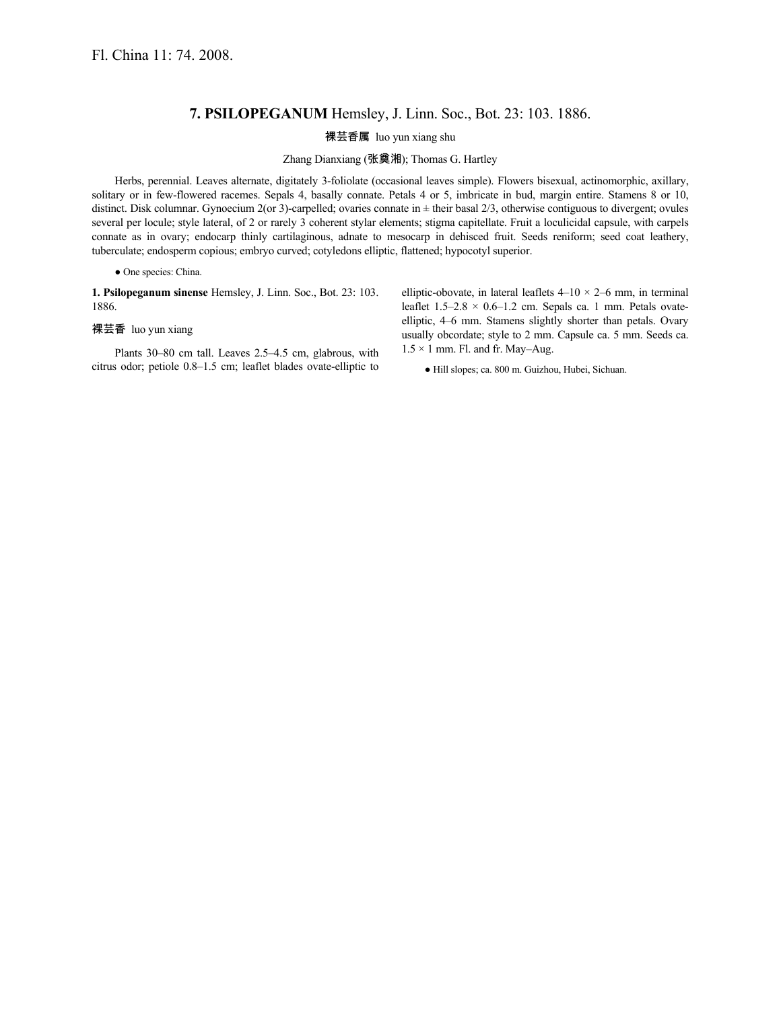## **7. PSILOPEGANUM** Hemsley, J. Linn. Soc., Bot. 23: 103. 1886.

## 裸芸香属 luo yun xiang shu

Zhang Dianxiang (张奠湘); Thomas G. Hartley

Herbs, perennial. Leaves alternate, digitately 3-foliolate (occasional leaves simple). Flowers bisexual, actinomorphic, axillary, solitary or in few-flowered racemes. Sepals 4, basally connate. Petals 4 or 5, imbricate in bud, margin entire. Stamens 8 or 10, distinct. Disk columnar. Gynoecium 2(or 3)-carpelled; ovaries connate in ± their basal 2/3, otherwise contiguous to divergent; ovules several per locule; style lateral, of 2 or rarely 3 coherent stylar elements; stigma capitellate. Fruit a loculicidal capsule, with carpels connate as in ovary; endocarp thinly cartilaginous, adnate to mesocarp in dehisced fruit. Seeds reniform; seed coat leathery, tuberculate; endosperm copious; embryo curved; cotyledons elliptic, flattened; hypocotyl superior.

## ● One species: China.

**1. Psilopeganum sinense** Hemsley, J. Linn. Soc., Bot. 23: 103. 1886.

## 裸芸香 luo yun xiang

Plants 30–80 cm tall. Leaves 2.5–4.5 cm, glabrous, with citrus odor; petiole 0.8–1.5 cm; leaflet blades ovate-elliptic to elliptic-obovate, in lateral leaflets  $4-10 \times 2-6$  mm, in terminal leaflet  $1.5-2.8 \times 0.6-1.2$  cm. Sepals ca. 1 mm. Petals ovateelliptic, 4–6 mm. Stamens slightly shorter than petals. Ovary usually obcordate; style to 2 mm. Capsule ca. 5 mm. Seeds ca.  $1.5 \times 1$  mm. Fl. and fr. May–Aug.

● Hill slopes; ca. 800 m. Guizhou, Hubei, Sichuan.